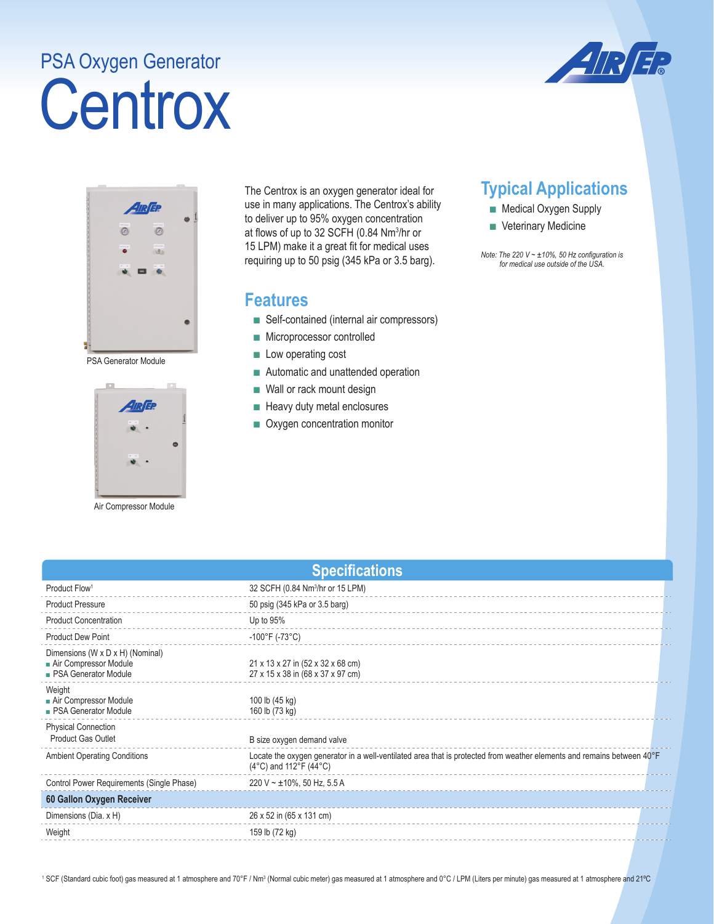## **Centrox** PSA Oxygen Generator





PSA Generator Module



Air Compressor Module

The Centrox is an oxygen generator ideal for use in many applications. The Centrox's ability to deliver up to 95% oxygen concentration at flows of up to 32 SCFH (0.84 Nm3 /hr or 15 LPM) make it a great fit for medical uses requiring up to 50 psig (345 kPa or 3.5 barg).

## **Features**

- Self-contained (internal air compressors)
- Microprocessor controlled
- Low operating cost
- Automatic and unattended operation
- Wall or rack mount design
- Heavy duty metal enclosures
- Oxygen concentration monitor

## **Typical Applications**

- Medical Oxygen Supply
- Veterinary Medicine

*Note: The 220 V ~ ±10%, 50 Hz configuration is for medical use outside of the USA.* 

| <b>Specifications</b>                                                                    |                                                                                                                                                                    |  |  |
|------------------------------------------------------------------------------------------|--------------------------------------------------------------------------------------------------------------------------------------------------------------------|--|--|
| Product Flow <sup>1</sup>                                                                | 32 SCFH (0.84 Nm <sup>3</sup> /hr or 15 LPM)                                                                                                                       |  |  |
| <b>Product Pressure</b>                                                                  | 50 psig (345 kPa or 3.5 barg)                                                                                                                                      |  |  |
| <b>Product Concentration</b>                                                             | Up to $95%$                                                                                                                                                        |  |  |
| <b>Product Dew Point</b>                                                                 | $-100^{\circ}$ F (-73°C)                                                                                                                                           |  |  |
| Dimensions (W x D x H) (Nominal)<br>Air Compressor Module<br><b>PSA Generator Module</b> | 21 x 13 x 27 in (52 x 32 x 68 cm)<br>27 x 15 x 38 in (68 x 37 x 97 cm)                                                                                             |  |  |
| Weight<br>Air Compressor Module<br><b>PSA Generator Module</b>                           | 100 lb (45 kg)<br>160 lb (73 kg)                                                                                                                                   |  |  |
| <b>Physical Connection</b><br><b>Product Gas Outlet</b>                                  | B size oxygen demand valve                                                                                                                                         |  |  |
| <b>Ambient Operating Conditions</b>                                                      | Locate the oxygen generator in a well-ventilated area that is protected from weather elements and remains between 40°F<br>$(4^{\circ}C)$ and 112°F $(44^{\circ}C)$ |  |  |
| Control Power Requirements (Single Phase)                                                | 220 V ~ $\pm$ 10%, 50 Hz, 5.5 A                                                                                                                                    |  |  |
| 60 Gallon Oxygen Receiver                                                                |                                                                                                                                                                    |  |  |
| Dimensions (Dia. x H)                                                                    | 26 x 52 in (65 x 131 cm)                                                                                                                                           |  |  |
| Weight                                                                                   | 159 lb (72 kg)                                                                                                                                                     |  |  |